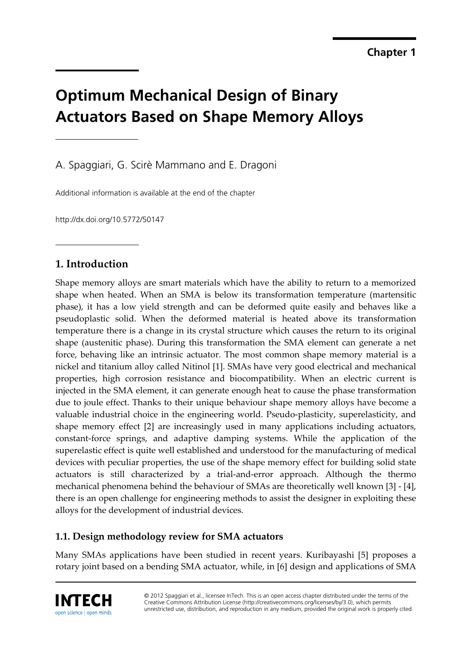# **Optimum Mechanical Design of Binary Actuators Based on Shape Memory Alloys**

A. Spaggiari, G. Scirè Mammano and E. Dragoni

Additional information is available at the end of the chapter

http://dx.doi.org/10.5772/50147

# **1. Introduction**

Shape memory alloys are smart materials which have the ability to return to a memorized shape when heated. When an SMA is below its transformation temperature (martensitic phase), it has a low yield strength and can be deformed quite easily and behaves like a pseudoplastic solid. When the deformed material is heated above its transformation temperature there is a change in its crystal structure which causes the return to its original shape (austenitic phase). During this transformation the SMA element can generate a net force, behaving like an intrinsic actuator. The most common shape memory material is a nickel and titanium alloy called Nitinol [1]. SMAs have very good electrical and mechanical properties, high corrosion resistance and biocompatibility. When an electric current is injected in the SMA element, it can generate enough heat to cause the phase transformation due to joule effect. Thanks to their unique behaviour shape memory alloys have become a valuable industrial choice in the engineering world. Pseudo-plasticity, superelasticity, and shape memory effect [2] are increasingly used in many applications including actuators, constant-force springs, and adaptive damping systems. While the application of the superelastic effect is quite well established and understood for the manufacturing of medical devices with peculiar properties, the use of the shape memory effect for building solid state actuators is still characterized by a trial-and-error approach. Although the thermo mechanical phenomena behind the behaviour of SMAs are theoretically well known [3] - [4], there is an open challenge for engineering methods to assist the designer in exploiting these alloys for the development of industrial devices.

# **1.1. Design methodology review for SMA actuators**

Many SMAs applications have been studied in recent years. Kuribayashi [5] proposes a rotary joint based on a bending SMA actuator, while, in [6] design and applications of SMA

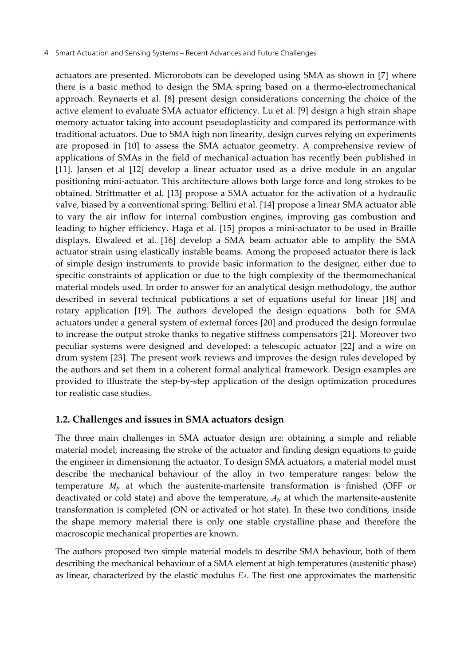actuators are presented. Microrobots can be developed using SMA as shown in [7] where there is a basic method to design the SMA spring based on a thermo-electromechanical approach. Reynaerts et al. [8] present design considerations concerning the choice of the active element to evaluate SMA actuator efficiency. Lu et al. [9] design a high strain shape memory actuator taking into account pseudoplasticity and compared its performance with traditional actuators. Due to SMA high non linearity, design curves relying on experiments are proposed in [10] to assess the SMA actuator geometry. A comprehensive review of applications of SMAs in the field of mechanical actuation has recently been published in [11]. Jansen et al [12] develop a linear actuator used as a drive module in an angular positioning mini-actuator. This architecture allows both large force and long strokes to be obtained. Strittmatter et al. [13] propose a SMA actuator for the activation of a hydraulic valve, biased by a conventional spring. Bellini et al. [14] propose a linear SMA actuator able to vary the air inflow for internal combustion engines, improving gas combustion and leading to higher efficiency. Haga et al. [15] propos a mini-actuator to be used in Braille displays. Elwaleed et al. [16] develop a SMA beam actuator able to amplify the SMA actuator strain using elastically instable beams. Among the proposed actuator there is lack of simple design instruments to provide basic information to the designer, either due to specific constraints of application or due to the high complexity of the thermomechanical material models used. In order to answer for an analytical design methodology, the author described in several technical publications a set of equations useful for linear [18] and rotary application [19]. The authors developed the design equations both for SMA actuators under a general system of external forces [20] and produced the design formulae to increase the output stroke thanks to negative stiffness compensators [21]. Moreover two peculiar systems were designed and developed: a telescopic actuator [22] and a wire on drum system [23]. The present work reviews and improves the design rules developed by the authors and set them in a coherent formal analytical framework. Design examples are provided to illustrate the step-by-step application of the design optimization procedures for realistic case studies.

# **1.2. Challenges and issues in SMA actuators design**

The three main challenges in SMA actuator design are: obtaining a simple and reliable material model, increasing the stroke of the actuator and finding design equations to guide the engineer in dimensioning the actuator. To design SMA actuators, a material model must describe the mechanical behaviour of the alloy in two temperature ranges: below the temperature  $M_f$  at which the austenite-martensite transformation is finished (OFF or deactivated or cold state) and above the temperature,  $A<sub>f</sub>$  at which the martensite-austenite transformation is completed (ON or activated or hot state). In these two conditions, inside the shape memory material there is only one stable crystalline phase and therefore the macroscopic mechanical properties are known.

The authors proposed two simple material models to describe SMA behaviour, both of them describing the mechanical behaviour of a SMA element at high temperatures (austenitic phase) as linear, characterized by the elastic modulus *EA*. The first one approximates the martensitic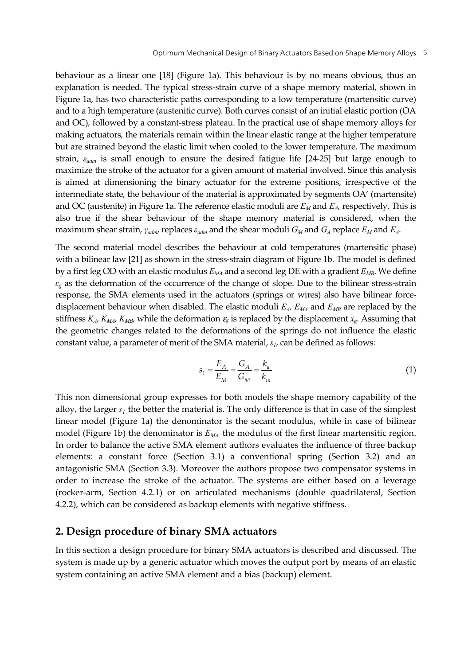behaviour as a linear one [18] (Figure 1a). This behaviour is by no means obvious, thus an explanation is needed. The typical stress-strain curve of a shape memory material, shown in Figure 1a, has two characteristic paths corresponding to a low temperature (martensitic curve) and to a high temperature (austenitic curve). Both curves consist of an initial elastic portion (OA and OC), followed by a constant-stress plateau. In the practical use of shape memory alloys for making actuators, the materials remain within the linear elastic range at the higher temperature but are strained beyond the elastic limit when cooled to the lower temperature. The maximum strain, *εadm* is small enough to ensure the desired fatigue life [24-25] but large enough to maximize the stroke of the actuator for a given amount of material involved. Since this analysis is aimed at dimensioning the binary actuator for the extreme positions, irrespective of the intermediate state, the behaviour of the material is approximated by segments OA' (martensite) and OC (austenite) in Figure 1a. The reference elastic moduli are  $E_M$  and  $E_A$ , respectively. This is also true if the shear behaviour of the shape memory material is considered, when the maximum shear strain,  $\gamma_{adm}$  replaces  $\varepsilon_{adm}$  and the shear moduli  $G_M$  and  $G_A$  replace  $E_M$  and  $E_A$ .

The second material model describes the behaviour at cold temperatures (martensitic phase) with a bilinear law [21] as shown in the stress-strain diagram of Figure 1b. The model is defined by a first leg OD with an elastic modulus *EMA* and a second leg DE with a gradient *EMB*. We define *εg* as the deformation of the occurrence of the change of slope. Due to the bilinear stress-strain response, the SMA elements used in the actuators (springs or wires) also have bilinear forcedisplacement behaviour when disabled. The elastic moduli  $E_A$ ,  $E_{MA}$  and  $E_{MB}$  are replaced by the stiffness  $K_A$ ,  $K_{M_A}$ ,  $K_{MB}$ , while the deformation  $\varepsilon_g$  is replaced by the displacement  $x_g$ . Assuming that the geometric changes related to the deformations of the springs do not influence the elastic constant value, a parameter of merit of the SMA material, *s1*, can be defined as follows:

$$
s_1 = \frac{E_A}{E_M} = \frac{G_A}{G_M} = \frac{k_a}{k_m}
$$
 (1)

This non dimensional group expresses for both models the shape memory capability of the alloy, the larger  $s_l$  the better the material is. The only difference is that in case of the simplest linear model (Figure 1a) the denominator is the secant modulus, while in case of bilinear model (Figure 1b) the denominator is  $E_{M4}$  the modulus of the first linear martensitic region. In order to balance the active SMA element authors evaluates the influence of three backup elements: a constant force (Section 3.1) a conventional spring (Section 3.2) and an antagonistic SMA (Section 3.3). Moreover the authors propose two compensator systems in order to increase the stroke of the actuator. The systems are either based on a leverage (rocker-arm, Section 4.2.1) or on articulated mechanisms (double quadrilateral, Section 4.2.2), which can be considered as backup elements with negative stiffness.

# **2. Design procedure of binary SMA actuators**

In this section a design procedure for binary SMA actuators is described and discussed. The system is made up by a generic actuator which moves the output port by means of an elastic system containing an active SMA element and a bias (backup) element.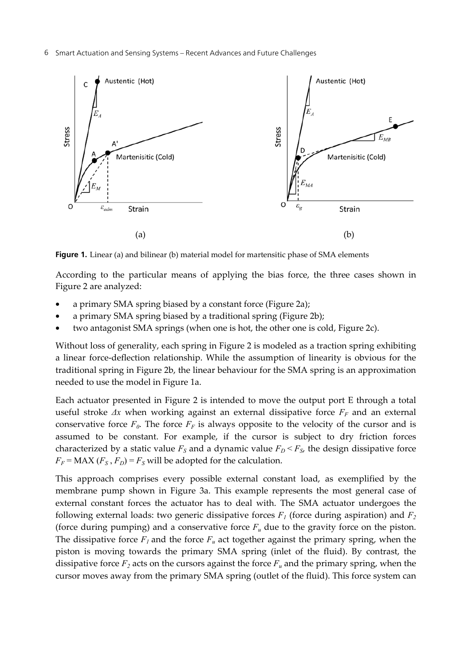

**Figure 1.** Linear (a) and bilinear (b) material model for martensitic phase of SMA elements

According to the particular means of applying the bias force, the three cases shown in Figure 2 are analyzed:

- a primary SMA spring biased by a constant force (Figure 2a);
- a primary SMA spring biased by a traditional spring (Figure 2b);
- two antagonist SMA springs (when one is hot, the other one is cold, Figure 2c).

Without loss of generality, each spring in Figure 2 is modeled as a traction spring exhibiting a linear force-deflection relationship. While the assumption of linearity is obvious for the traditional spring in Figure 2b, the linear behaviour for the SMA spring is an approximation needed to use the model in Figure 1a.

Each actuator presented in Figure 2 is intended to move the output port E through a total useful stroke  $\Delta x$  when working against an external dissipative force  $F_F$  and an external conservative force  $F_p$ . The force  $F_F$  is always opposite to the velocity of the cursor and is assumed to be constant. For example, if the cursor is subject to dry friction forces characterized by a static value  $F_S$  and a dynamic value  $F_D \leq F_S$ , the design dissipative force  $F_F$  = MAX ( $F_S$ ,  $F_D$ ) =  $F_S$  will be adopted for the calculation.

This approach comprises every possible external constant load, as exemplified by the membrane pump shown in Figure 3a. This example represents the most general case of external constant forces the actuator has to deal with. The SMA actuator undergoes the following external loads: two generic dissipative forces  $F_l$  (force during aspiration) and  $F_2$ (force during pumping) and a conservative force  $F_u$  due to the gravity force on the piston. The dissipative force  $F_l$  and the force  $F_u$  act together against the primary spring, when the piston is moving towards the primary SMA spring (inlet of the fluid). By contrast, the dissipative force  $F_2$  acts on the cursors against the force  $F_u$  and the primary spring, when the cursor moves away from the primary SMA spring (outlet of the fluid). This force system can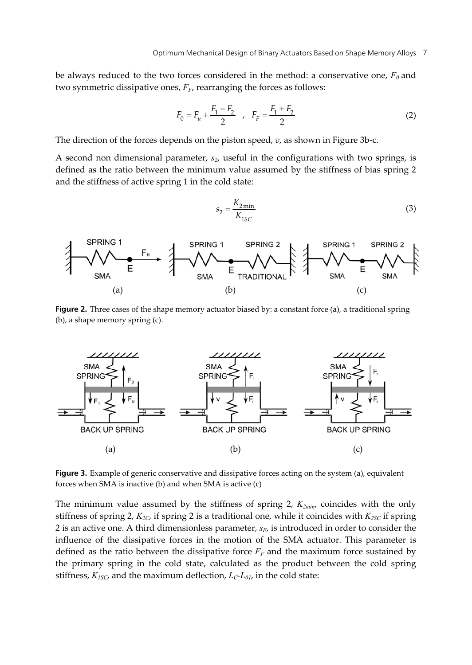be always reduced to the two forces considered in the method: a conservative one,  $F_0$  and two symmetric dissipative ones,  $F_F$ , rearranging the forces as follows:

$$
F_0 = F_u + \frac{F_1 - F_2}{2} , \quad F_F = \frac{F_1 + F_2}{2}
$$
 (2)

The direction of the forces depends on the piston speed, *v*, as shown in Figure 3b-c.

A second non dimensional parameter, *s2*, useful in the configurations with two springs, is defined as the ratio between the minimum value assumed by the stiffness of bias spring 2 and the stiffness of active spring 1 in the cold state:

$$
s_2 = \frac{K_{2\min}}{K_{1SC}}\tag{3}
$$



**Figure 2.** Three cases of the shape memory actuator biased by: a constant force (a), a traditional spring (b), a shape memory spring (c).



**Figure 3.** Example of generic conservative and dissipative forces acting on the system (a), equivalent forces when SMA is inactive (b) and when SMA is active (c)

The minimum value assumed by the stiffness of spring 2, *K2min*, coincides with the only stiffness of spring 2, *K2C*, if spring 2 is a traditional one, while it coincides with *K2SC* if spring 2 is an active one. A third dimensionless parameter, *sF*, is introduced in order to consider the influence of the dissipative forces in the motion of the SMA actuator. This parameter is defined as the ratio between the dissipative force  $F_F$  and the maximum force sustained by the primary spring in the cold state, calculated as the product between the cold spring stiffness,  $K_{ISCO}$  and the maximum deflection,  $L_C$ - $L_{01}$ , in the cold state: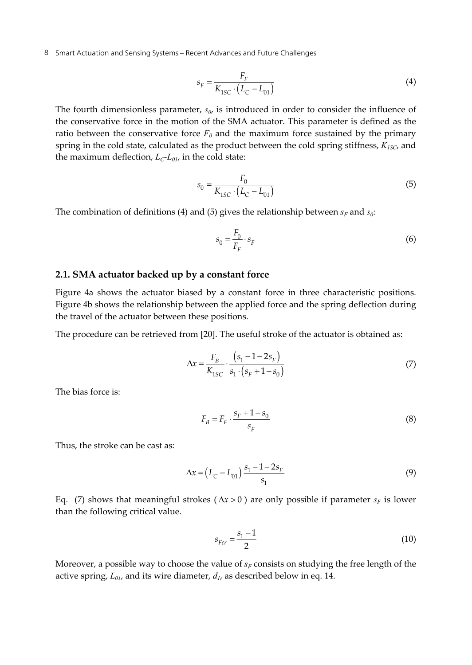$$
s_F = \frac{F_F}{K_{1SC} \cdot (L_C - L_{01})}
$$
(4)

The fourth dimensionless parameter, *s0*, is introduced in order to consider the influence of the conservative force in the motion of the SMA actuator. This parameter is defined as the ratio between the conservative force  $F_0$  and the maximum force sustained by the primary spring in the cold state, calculated as the product between the cold spring stiffness,  $K_{ISC}$ , and the maximum deflection,  $L_C$ - $L_{01}$ , in the cold state:

$$
s_0 = \frac{F_0}{K_{1SC} \cdot (L_C - L_{01})}
$$
\n(5)

The combination of definitions (4) and (5) gives the relationship between  $s_F$  and  $s_0$ :

$$
s_0 = \frac{F_0}{F_F} \cdot s_F \tag{6}
$$

# **2.1. SMA actuator backed up by a constant force**

Figure 4a shows the actuator biased by a constant force in three characteristic positions. Figure 4b shows the relationship between the applied force and the spring deflection during the travel of the actuator between these positions.

The procedure can be retrieved from [20]. The useful stroke of the actuator is obtained as:

$$
\Delta x = \frac{F_B}{K_{1SC}} \cdot \frac{(s_1 - 1 - 2s_F)}{s_1 \cdot (s_F + 1 - s_0)}
$$
(7)

The bias force is:

$$
F_B = F_F \cdot \frac{s_F + 1 - s_0}{s_F} \tag{8}
$$

Thus, the stroke can be cast as:

$$
\Delta x = \left( L_C - L_{01} \right) \frac{s_1 - 1 - 2s_F}{s_1} \tag{9}
$$

Eq. (7) shows that meaningful strokes ( $\Delta x > 0$ ) are only possible if parameter  $s_F$  is lower than the following critical value.

$$
s_{Fcr} = \frac{s_1 - 1}{2} \tag{10}
$$

Moreover, a possible way to choose the value of  $s_F$  consists on studying the free length of the active spring, *L01*, and its wire diameter, *d1*, as described below in eq. 14.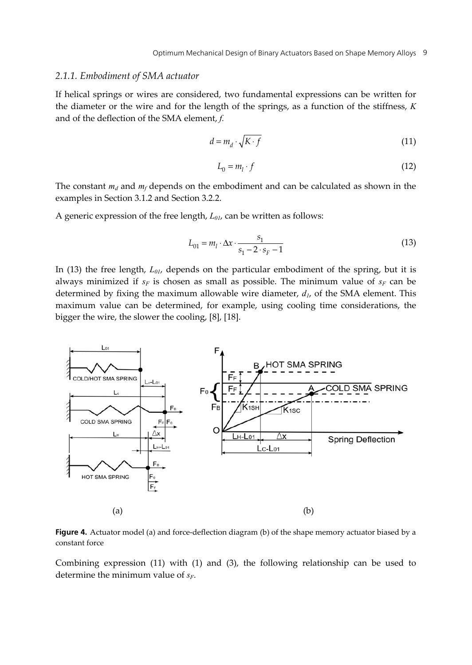### *2.1.1. Embodiment of SMA actuator*

If helical springs or wires are considered, two fundamental expressions can be written for the diameter or the wire and for the length of the springs, as a function of the stiffness, *K* and of the deflection of the SMA element, *f.*

$$
d = m_d \cdot \sqrt{K \cdot f} \tag{11}
$$

$$
L_0 = m_l \cdot f \tag{12}
$$

The constant  $m_d$  and  $m_f$  depends on the embodiment and can be calculated as shown in the examples in Section 3.1.2 and Section 3.2.2.

A generic expression of the free length, *L01*, can be written as follows:

$$
L_{01} = m_1 \cdot \Delta x \cdot \frac{s_1}{s_1 - 2 \cdot s_F - 1} \tag{13}
$$

In (13) the free length, *L01*, depends on the particular embodiment of the spring, but it is always minimized if  $s_F$  is chosen as small as possible. The minimum value of  $s_F$  can be determined by fixing the maximum allowable wire diameter,  $d<sub>l</sub>$ , of the SMA element. This maximum value can be determined, for example, using cooling time considerations, the bigger the wire, the slower the cooling, [8], [18].



**Figure 4.** Actuator model (a) and force-deflection diagram (b) of the shape memory actuator biased by a constant force

Combining expression (11) with (1) and (3), the following relationship can be used to determine the minimum value of *sF*.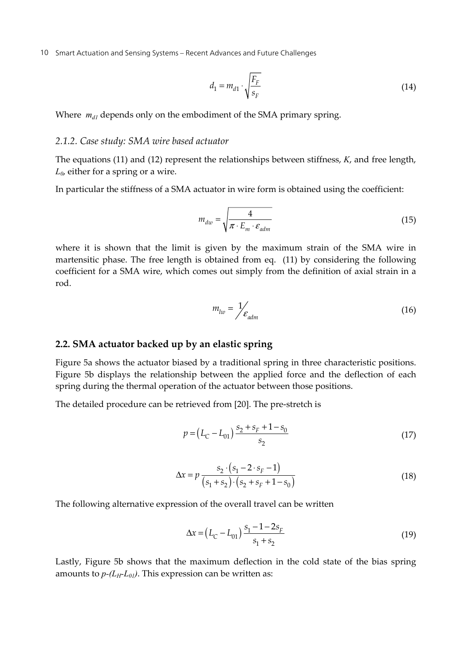$$
d_1 = m_{d1} \cdot \sqrt{\frac{F_F}{s_F}}
$$
 (14)

Where  $m_{d1}$  depends only on the embodiment of the SMA primary spring.

### *2.1.2. Case study: SMA wire based actuator*

The equations (11) and (12) represent the relationships between stiffness, *K*, and free length, *L0*, either for a spring or a wire.

In particular the stiffness of a SMA actuator in wire form is obtained using the coefficient:

$$
m_{dw} = \sqrt{\frac{4}{\pi \cdot E_m \cdot \epsilon_{adm}}} \tag{15}
$$

where it is shown that the limit is given by the maximum strain of the SMA wire in martensitic phase. The free length is obtained from eq. (11) by considering the following coefficient for a SMA wire, which comes out simply from the definition of axial strain in a rod.

$$
m_{lw} = \frac{1}{\varepsilon_{adm}} \tag{16}
$$

# **2.2. SMA actuator backed up by an elastic spring**

Figure 5a shows the actuator biased by a traditional spring in three characteristic positions. Figure 5b displays the relationship between the applied force and the deflection of each spring during the thermal operation of the actuator between those positions.

The detailed procedure can be retrieved from [20]. The pre-stretch is

$$
p = \left(L_C - L_{01}\right) \frac{s_2 + s_F + 1 - s_0}{s_2} \tag{17}
$$

$$
\Delta x = p \frac{s_2 \cdot (s_1 - 2 \cdot s_F - 1)}{(s_1 + s_2) \cdot (s_2 + s_F + 1 - s_0)}
$$
(18)

The following alternative expression of the overall travel can be written

$$
\Delta x = (L_C - L_{01}) \frac{s_1 - 1 - 2s_F}{s_1 + s_2} \tag{19}
$$

Lastly, Figure 5b shows that the maximum deflection in the cold state of the bias spring amounts to  $p$ - $(L_H - L_{0I})$ . This expression can be written as: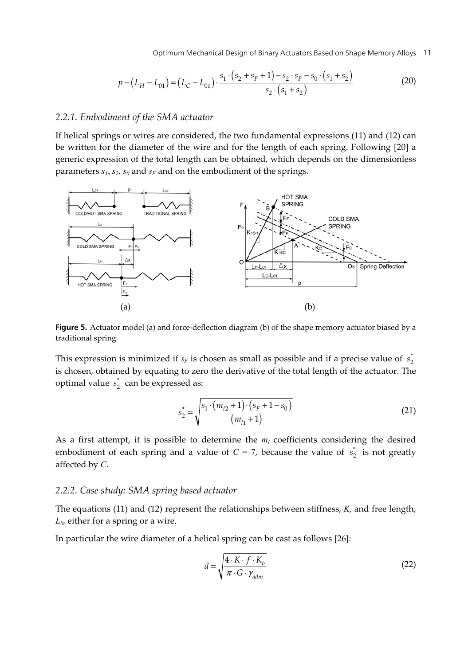Optimum Mechanical Design of Binary Actuators Based on Shape Memory Alloys 11

$$
p - (L_H - L_{01}) = (L_C - L_{01}) \cdot \frac{s_1 \cdot (s_2 + s_F + 1) - s_2 \cdot s_F - s_0 \cdot (s_1 + s_2)}{s_2 \cdot (s_1 + s_2)}
$$
(20)

### *2.2.1. Embodiment of the SMA actuator*

If helical springs or wires are considered, the two fundamental expressions (11) and (12) can be written for the diameter of the wire and for the length of each spring. Following [20] a generic expression of the total length can be obtained, which depends on the dimensionless parameters  $s_1$ ,  $s_2$ ,  $s_0$  and  $s_F$  and on the embodiment of the springs.



**Figure 5.** Actuator model (a) and force-deflection diagram (b) of the shape memory actuator biased by a traditional spring

This expression is minimized if  $s_F$  is chosen as small as possible and if a precise value of  $s_2^*$ is chosen, obtained by equating to zero the derivative of the total length of the actuator. The optimal value  $s_2^*$  can be expressed as:

$$
s_2^* = \sqrt{\frac{s_1 \cdot (m_{12} + 1) \cdot (s_F + 1 - s_0)}{(m_{11} + 1)}}
$$
(21)

As a first attempt, it is possible to determine the  $m_l$  coefficients considering the desired embodiment of each spring and a value of  $C = 7$ , because the value of  $s_2^*$  is not greatly affected by *C*.

# *2.2.2. Case study: SMA spring based actuator*

The equations (11) and (12) represent the relationships between stiffness, *K*, and free length, *L0*, either for a spring or a wire.

In particular the wire diameter of a helical spring can be cast as follows [26]:

$$
d = \sqrt{\frac{4 \cdot K \cdot f \cdot K_b}{\pi \cdot G \cdot \gamma_{adm}}}
$$
 (22)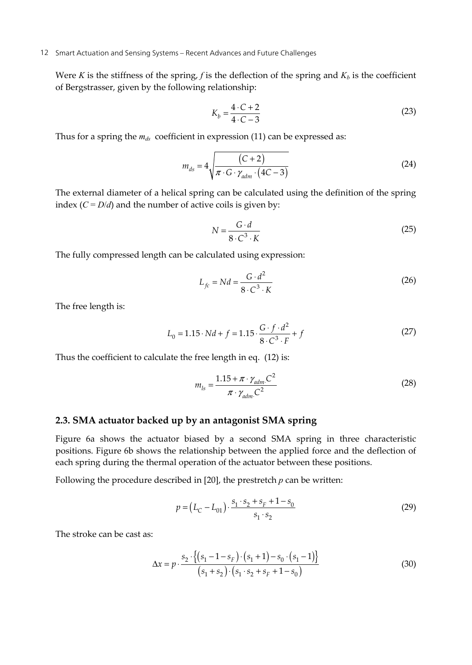Were *K* is the stiffness of the spring,  $f$  is the deflection of the spring and  $K_b$  is the coefficient of Bergstrasser, given by the following relationship:

$$
K_b = \frac{4 \cdot C + 2}{4 \cdot C - 3} \tag{23}
$$

Thus for a spring the  $m_{ds}$  coefficient in expression (11) can be expressed as:

$$
m_{ds} = 4\sqrt{\frac{(C+2)}{\pi \cdot G \cdot \gamma_{adm} \cdot (4C-3)}}
$$
 (24)

The external diameter of a helical spring can be calculated using the definition of the spring index  $(C = D/d)$  and the number of active coils is given by:

$$
N = \frac{G \cdot d}{8 \cdot C^3 \cdot K} \tag{25}
$$

The fully compressed length can be calculated using expression:

$$
L_{fc} = Nd = \frac{G \cdot d^2}{8 \cdot C^3 \cdot K}
$$
 (26)

The free length is:

$$
L_0 = 1.15 \cdot Nd + f = 1.15 \cdot \frac{G \cdot f \cdot d^2}{8 \cdot C^3 \cdot F} + f \tag{27}
$$

Thus the coefficient to calculate the free length in eq. (12) is:

$$
m_{ls} = \frac{1.15 + \pi \cdot \gamma_{adm} C^2}{\pi \cdot \gamma_{adm} C^2}
$$
 (28)

# **2.3. SMA actuator backed up by an antagonist SMA spring**

Figure 6a shows the actuator biased by a second SMA spring in three characteristic positions. Figure 6b shows the relationship between the applied force and the deflection of each spring during the thermal operation of the actuator between these positions.

Following the procedure described in [20], the prestretch *p* can be written:

$$
p = (L_C - L_{01}) \cdot \frac{s_1 \cdot s_2 + s_F + 1 - s_0}{s_1 \cdot s_2} \tag{29}
$$

The stroke can be cast as:

$$
\Delta x = p \cdot \frac{s_2 \cdot \{(s_1 - 1 - s_F) \cdot (s_1 + 1) - s_0 \cdot (s_1 - 1)\}}{(s_1 + s_2) \cdot (s_1 \cdot s_2 + s_F + 1 - s_0)}
$$
(30)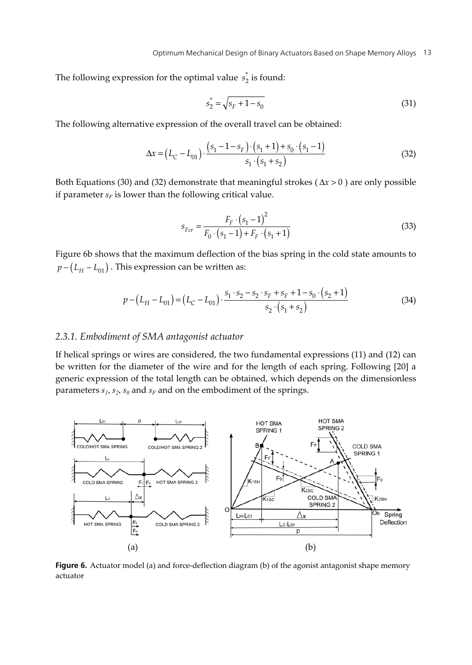#### Optimum Mechanical Design of Binary Actuators Based on Shape Memory Alloys 13

The following expression for the optimal value  $s_2^*$  is found:

$$
s_2^* = \sqrt{s_F + 1 - s_0} \tag{31}
$$

The following alternative expression of the overall travel can be obtained:

$$
\Delta x = (L_C - L_{01}) \cdot \frac{(s_1 - 1 - s_F) \cdot (s_1 + 1) + s_0 \cdot (s_1 - 1)}{s_1 \cdot (s_1 + s_2)}
$$
(32)

Both Equations (30) and (32) demonstrate that meaningful strokes ( $\Delta x > 0$ ) are only possible if parameter  $s_F$  is lower than the following critical value.

$$
s_{Fcr} = \frac{F_F \cdot (s_1 - 1)^2}{F_0 \cdot (s_1 - 1) + F_F \cdot (s_1 + 1)}
$$
(33)

Figure 6b shows that the maximum deflection of the bias spring in the cold state amounts to  $p - (L_H - L_{01})$ . This expression can be written as:

$$
p - (L_H - L_{01}) = (L_C - L_{01}) \cdot \frac{s_1 \cdot s_2 - s_2 \cdot s_F + s_F + 1 - s_0 \cdot (s_2 + 1)}{s_2 \cdot (s_1 + s_2)}
$$
(34)

### *2.3.1. Embodiment of SMA antagonist actuator*

If helical springs or wires are considered, the two fundamental expressions (11) and (12) can be written for the diameter of the wire and for the length of each spring. Following [20] a generic expression of the total length can be obtained, which depends on the dimensionless parameters  $s_1$ ,  $s_2$ ,  $s_0$  and  $s_F$  and on the embodiment of the springs.



**Figure 6.** Actuator model (a) and force-deflection diagram (b) of the agonist antagonist shape memory actuator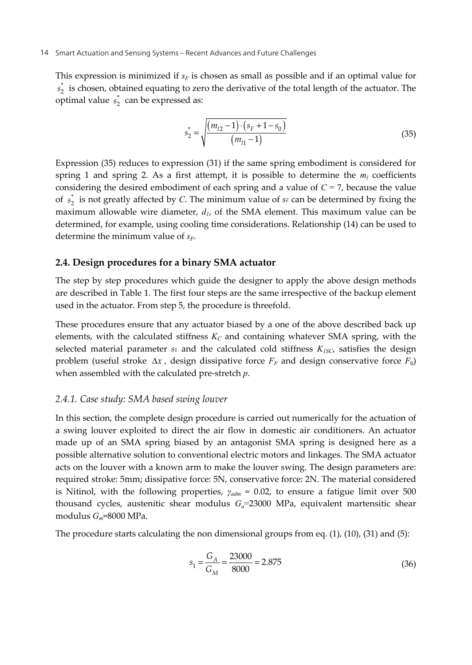This expression is minimized if  $s_F$  is chosen as small as possible and if an optimal value for  $s_2^*$  is chosen, obtained equating to zero the derivative of the total length of the actuator. The optimal value  $s_2^*$  can be expressed as:

$$
s_2^* = \sqrt{\frac{(m_{12} - 1) \cdot (s_F + 1 - s_0)}{(m_{11} - 1)}}
$$
(35)

Expression (35) reduces to expression (31) if the same spring embodiment is considered for spring 1 and spring 2. As a first attempt, it is possible to determine the  $m_l$  coefficients considering the desired embodiment of each spring and a value of  $C = 7$ , because the value of \* <sup>2</sup>*s* is not greatly affected by *C*. The minimum value of *sF* can be determined by fixing the maximum allowable wire diameter,  $d<sub>l</sub>$ , of the SMA element. This maximum value can be determined, for example, using cooling time considerations. Relationship (14) can be used to determine the minimum value of *sF*.

# **2.4. Design procedures for a binary SMA actuator**

The step by step procedures which guide the designer to apply the above design methods are described in Table 1. The first four steps are the same irrespective of the backup element used in the actuator. From step 5, the procedure is threefold.

These procedures ensure that any actuator biased by a one of the above described back up elements, with the calculated stiffness  $K_C$  and containing whatever SMA spring, with the selected material parameter *s*<sub>1</sub> and the calculated cold stiffness  $K_{ISC}$ , satisfies the design problem (useful stroke  $\Delta x$ , design dissipative force  $F_F$  and design conservative force  $F_0$ ) when assembled with the calculated pre-stretch *p*.

# *2.4.1. Case study: SMA based swing louver*

In this section, the complete design procedure is carried out numerically for the actuation of a swing louver exploited to direct the air flow in domestic air conditioners. An actuator made up of an SMA spring biased by an antagonist SMA spring is designed here as a possible alternative solution to conventional electric motors and linkages. The SMA actuator acts on the louver with a known arm to make the louver swing. The design parameters are: required stroke: 5mm; dissipative force: 5N, conservative force: 2N. The material considered is Nitinol, with the following properties, *γadm* = 0.02, to ensure a fatigue limit over 500 thousand cycles, austenitic shear modulus  $G_a$ =23000 MPa, equivalent martensitic shear modulus *Gm*=8000 MPa.

The procedure starts calculating the non dimensional groups from eq.  $(1)$ ,  $(10)$ ,  $(31)$  and  $(5)$ :

$$
s_1 = \frac{G_A}{G_M} = \frac{23000}{8000} = 2.875\tag{36}
$$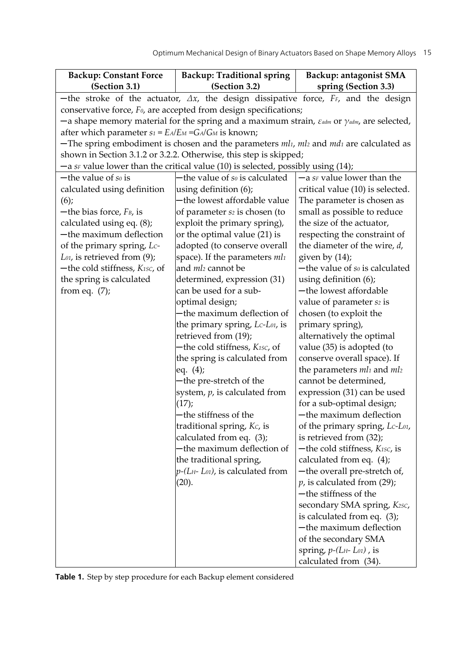| <b>Backup: Constant Force</b>                                                                                                   | <b>Backup: Traditional spring</b>                           | Backup: antagonist SMA                  |  |
|---------------------------------------------------------------------------------------------------------------------------------|-------------------------------------------------------------|-----------------------------------------|--|
| (Section 3.1)                                                                                                                   | (Section 3.2)                                               | spring (Section 3.3)                    |  |
| -the stroke of the actuator, $\Delta x$ , the design dissipative force, $F_F$ , and the design                                  |                                                             |                                         |  |
| conservative force, F <sub>0</sub> , are accepted from design specifications;                                                   |                                                             |                                         |  |
| —a shape memory material for the spring and a maximum strain, $\varepsilon_{\alpha dm}$ or $\gamma_{\alpha dm}$ , are selected, |                                                             |                                         |  |
| after which parameter $s_1 = E_A/E_M = G_A/G_M$ is known;                                                                       |                                                             |                                         |  |
| -The spring embodiment is chosen and the parameters $ml_1$ , $ml_2$ and $md_1$ are calculated as                                |                                                             |                                         |  |
| shown in Section 3.1.2 or 3.2.2. Otherwise, this step is skipped;                                                               |                                                             |                                         |  |
| $-a$ sr value lower than the critical value (10) is selected, possibly using (14);                                              |                                                             |                                         |  |
| -the value of $so$ is                                                                                                           | -the value of $so$ is calculated                            | $-a$ sr value lower than the            |  |
| calculated using definition                                                                                                     | using definition (6);                                       | critical value (10) is selected.        |  |
| (6);                                                                                                                            | -the lowest affordable value                                | The parameter is chosen as              |  |
| —the bias force, $F_B$ , is                                                                                                     | of parameter s2 is chosen (to                               | small as possible to reduce             |  |
| calculated using eq. (8);                                                                                                       | exploit the primary spring),                                | the size of the actuator,               |  |
| -the maximum deflection                                                                                                         | or the optimal value (21) is                                | respecting the constraint of            |  |
| of the primary spring, Lc-                                                                                                      | adopted (to conserve overall                                | the diameter of the wire, $d$ ,         |  |
| $L_{01}$ , is retrieved from (9);                                                                                               | space). If the parameters ml1                               | given by $(14)$ ;                       |  |
| -the cold stiffness, K1sc, of                                                                                                   | and <i>ml</i> <sub>2</sub> cannot be                        | -the value of $so$ is calculated        |  |
| the spring is calculated                                                                                                        | determined, expression (31)                                 | using definition (6);                   |  |
| from eq. $(7)$ ;                                                                                                                | can be used for a sub-                                      | —the lowest affordable                  |  |
|                                                                                                                                 | optimal design;                                             | value of parameter s2 is                |  |
|                                                                                                                                 | -the maximum deflection of                                  | chosen (to exploit the                  |  |
|                                                                                                                                 | the primary spring, $Lc$ - $L_{01}$ , is                    | primary spring),                        |  |
|                                                                                                                                 | retrieved from (19);                                        | alternatively the optimal               |  |
|                                                                                                                                 | -the cold stiffness, K1sc, of                               | value (35) is adopted (to               |  |
|                                                                                                                                 | the spring is calculated from                               | conserve overall space). If             |  |
|                                                                                                                                 | eq. (4);                                                    | the parameters ml1 and ml2              |  |
|                                                                                                                                 | -the pre-stretch of the                                     | cannot be determined,                   |  |
|                                                                                                                                 | system, $p$ , is calculated from                            | expression (31) can be used             |  |
|                                                                                                                                 | (17);                                                       | for a sub-optimal design;               |  |
|                                                                                                                                 | -the stiffness of the                                       | -the maximum deflection                 |  |
|                                                                                                                                 | traditional spring, Kc, is                                  | of the primary spring, Lc-Lo1,          |  |
|                                                                                                                                 | calculated from eq. (3);                                    | is retrieved from (32);                 |  |
|                                                                                                                                 | -the maximum deflection of                                  | $-$ the cold stiffness, $K_{1SC}$ , is  |  |
|                                                                                                                                 | the traditional spring,                                     | calculated from eq. (4);                |  |
|                                                                                                                                 | $p$ -(L <sub>H</sub> -L <sub>01</sub> ), is calculated from | -the overall pre-stretch of,            |  |
|                                                                                                                                 | (20).                                                       | $p$ , is calculated from (29);          |  |
|                                                                                                                                 |                                                             | -the stiffness of the                   |  |
|                                                                                                                                 |                                                             | secondary SMA spring, K2sc,             |  |
|                                                                                                                                 |                                                             | is calculated from eq. (3);             |  |
|                                                                                                                                 |                                                             | -the maximum deflection                 |  |
|                                                                                                                                 |                                                             | of the secondary SMA                    |  |
|                                                                                                                                 |                                                             | spring, $p$ - $(L_{H}$ - $L_{01})$ , is |  |
|                                                                                                                                 |                                                             | calculated from (34).                   |  |

**Table 1.** Step by step procedure for each Backup element considered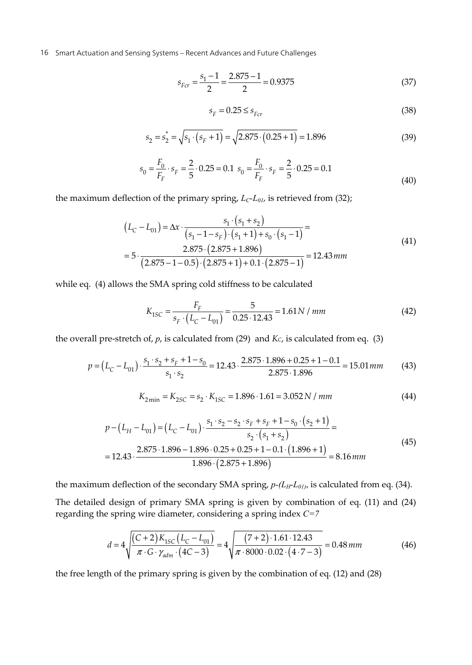$$
s_{Fcr} = \frac{s_1 - 1}{2} = \frac{2.875 - 1}{2} = 0.9375\tag{37}
$$

$$
s_F = 0.25 \le s_{Fcr} \tag{38}
$$

$$
s_2 = s_2^* = \sqrt{s_1 \cdot (s_F + 1)} = \sqrt{2.875 \cdot (0.25 + 1)} = 1.896
$$
 (39)

$$
s_0 = \frac{F_0}{F_F} \cdot s_F = \frac{2}{5} \cdot 0.25 = 0.1 \ s_0 = \frac{F_0}{F_F} \cdot s_F = \frac{2}{5} \cdot 0.25 = 0.1 \tag{40}
$$

the maximum deflection of the primary spring,  $L<sub>C</sub>-L<sub>01</sub>$ , is retrieved from (32);

$$
\left(L_{C}-L_{01}\right) = \Delta x \cdot \frac{s_{1} \cdot (s_{1}+s_{2})}{(s_{1}-1-s_{F}) \cdot (s_{1}+1)+s_{0} \cdot (s_{1}-1)} =
$$
\n
$$
= 5 \cdot \frac{2.875 \cdot (2.875+1.896)}{(2.875-1-0.5) \cdot (2.875+1)+0.1 \cdot (2.875-1)} = 12.43 \text{ mm}
$$
\n(41)

while eq. (4) allows the SMA spring cold stiffness to be calculated

$$
K_{1SC} = \frac{F_F}{s_F \cdot (L_C - L_{01})} = \frac{5}{0.25 \cdot 12.43} = 1.61 \, N / \, mm \tag{42}
$$

the overall pre-stretch of,  $p$ , is calculated from (29) and  $Kc$ , is calculated from eq. (3)

$$
p = (L_C - L_{01}) \cdot \frac{s_1 \cdot s_2 + s_F + 1 - s_0}{s_1 \cdot s_2} = 12.43 \cdot \frac{2.875 \cdot 1.896 + 0.25 + 1 - 0.1}{2.875 \cdot 1.896} = 15.01 \, mm \tag{43}
$$

$$
K_{2\min} = K_{2SC} = s_2 \cdot K_{1SC} = 1.896 \cdot 1.61 = 3.052 N / \, mm \tag{44}
$$

$$
p - (L_H - L_{01}) = (L_C - L_{01}) \cdot \frac{s_1 \cdot s_2 - s_2 \cdot s_F + s_F + 1 - s_0 \cdot (s_2 + 1)}{s_2 \cdot (s_1 + s_2)} =
$$
  
= 12.43  $\cdot \frac{2.875 \cdot 1.896 - 1.896 \cdot 0.25 + 0.25 + 1 - 0.1 \cdot (1.896 + 1)}{1.896 \cdot (2.875 + 1.896)} = 8.16 \text{ mm}$  (45)

the maximum deflection of the secondary SMA spring,  $p$ -( $L_H$ - $L_{01}$ ), is calculated from eq. (34).

The detailed design of primary SMA spring is given by combination of eq. (11) and (24) regarding the spring wire diameter, considering a spring index *C=7*

$$
d = 4\sqrt{\frac{(C+2)K_{1SC}(L_C - L_{01})}{\pi \cdot G \cdot \gamma_{adm} \cdot (4C-3)}} = 4\sqrt{\frac{(7+2) \cdot 1.61 \cdot 12.43}{\pi \cdot 8000 \cdot 0.02 \cdot (4 \cdot 7 - 3)}} = 0.48 \, \text{mm}
$$
 (46)

the free length of the primary spring is given by the combination of eq. (12) and (28)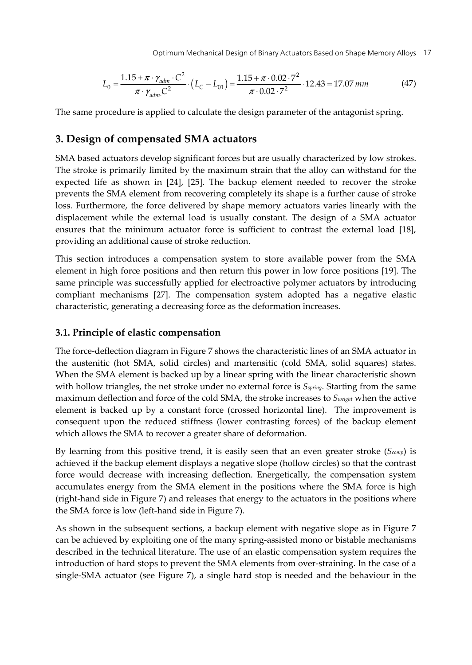Optimum Mechanical Design of Binary Actuators Based on Shape Memory Alloys 17

$$
L_0 = \frac{1.15 + \pi \cdot \gamma_{adm} \cdot C^2}{\pi \cdot \gamma_{adm} \cdot C^2} \cdot \left(L_C - L_{01}\right) = \frac{1.15 + \pi \cdot 0.02 \cdot 7^2}{\pi \cdot 0.02 \cdot 7^2} \cdot 12.43 = 17.07 \, \text{mm} \tag{47}
$$

The same procedure is applied to calculate the design parameter of the antagonist spring.

# **3. Design of compensated SMA actuators**

SMA based actuators develop significant forces but are usually characterized by low strokes. The stroke is primarily limited by the maximum strain that the alloy can withstand for the expected life as shown in [24], [25]. The backup element needed to recover the stroke prevents the SMA element from recovering completely its shape is a further cause of stroke loss. Furthermore, the force delivered by shape memory actuators varies linearly with the displacement while the external load is usually constant. The design of a SMA actuator ensures that the minimum actuator force is sufficient to contrast the external load [18], providing an additional cause of stroke reduction.

This section introduces a compensation system to store available power from the SMA element in high force positions and then return this power in low force positions [19]. The same principle was successfully applied for electroactive polymer actuators by introducing compliant mechanisms [27]. The compensation system adopted has a negative elastic characteristic, generating a decreasing force as the deformation increases.

# **3.1. Principle of elastic compensation**

The force-deflection diagram in Figure 7 shows the characteristic lines of an SMA actuator in the austenitic (hot SMA, solid circles) and martensitic (cold SMA, solid squares) states. When the SMA element is backed up by a linear spring with the linear characteristic shown with hollow triangles, the net stroke under no external force is *Sspring*. Starting from the same maximum deflection and force of the cold SMA, the stroke increases to *Sweight* when the active element is backed up by a constant force (crossed horizontal line). The improvement is consequent upon the reduced stiffness (lower contrasting forces) of the backup element which allows the SMA to recover a greater share of deformation.

By learning from this positive trend, it is easily seen that an even greater stroke (*Scomp*) is achieved if the backup element displays a negative slope (hollow circles) so that the contrast force would decrease with increasing deflection. Energetically, the compensation system accumulates energy from the SMA element in the positions where the SMA force is high (right-hand side in Figure 7) and releases that energy to the actuators in the positions where the SMA force is low (left-hand side in Figure 7).

As shown in the subsequent sections, a backup element with negative slope as in Figure 7 can be achieved by exploiting one of the many spring-assisted mono or bistable mechanisms described in the technical literature. The use of an elastic compensation system requires the introduction of hard stops to prevent the SMA elements from over-straining. In the case of a single-SMA actuator (see Figure 7), a single hard stop is needed and the behaviour in the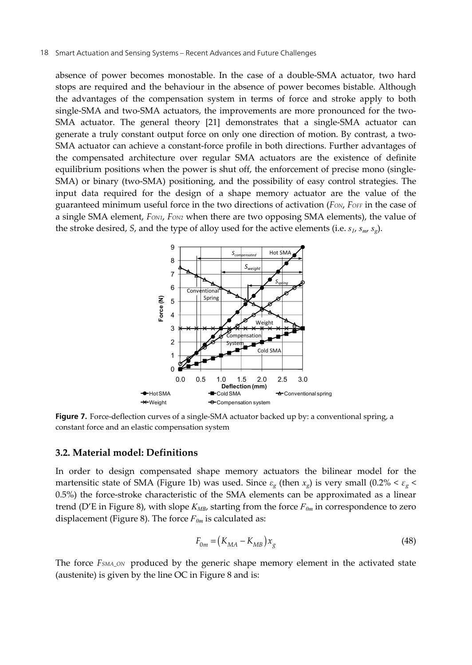absence of power becomes monostable. In the case of a double-SMA actuator, two hard stops are required and the behaviour in the absence of power becomes bistable. Although the advantages of the compensation system in terms of force and stroke apply to both single-SMA and two-SMA actuators, the improvements are more pronounced for the two-SMA actuator. The general theory [21] demonstrates that a single-SMA actuator can generate a truly constant output force on only one direction of motion. By contrast, a two-SMA actuator can achieve a constant-force profile in both directions. Further advantages of the compensated architecture over regular SMA actuators are the existence of definite equilibrium positions when the power is shut off, the enforcement of precise mono (single-SMA) or binary (two-SMA) positioning, and the possibility of easy control strategies. The input data required for the design of a shape memory actuator are the value of the guaranteed minimum useful force in the two directions of activation (*FON*, *FOFF* in the case of a single SMA element, *FON1*, *FON2* when there are two opposing SMA elements), the value of the stroke desired, *S*, and the type of alloy used for the active elements (i.e. *s1*, *sm*, *sg*).



**Figure 7.** Force-deflection curves of a single-SMA actuator backed up by: a conventional spring, a constant force and an elastic compensation system

### **3.2. Material model: Definitions**

In order to design compensated shape memory actuators the bilinear model for the martensitic state of SMA (Figure 1b) was used. Since  $\varepsilon_g$  (then  $x_g$ ) is very small (0.2% <  $\varepsilon_g$  < 0.5%) the force-stroke characteristic of the SMA elements can be approximated as a linear trend (D'E in Figure 8), with slope *KMB*, starting from the force *F0m* in correspondence to zero displacement (Figure 8). The force  $F_{0m}$  is calculated as:

$$
F_{0m} = (K_{MA} - K_{MB})x_g
$$
\n(48)

The force *FSMA\_ON* produced by the generic shape memory element in the activated state (austenite) is given by the line OC in Figure 8 and is: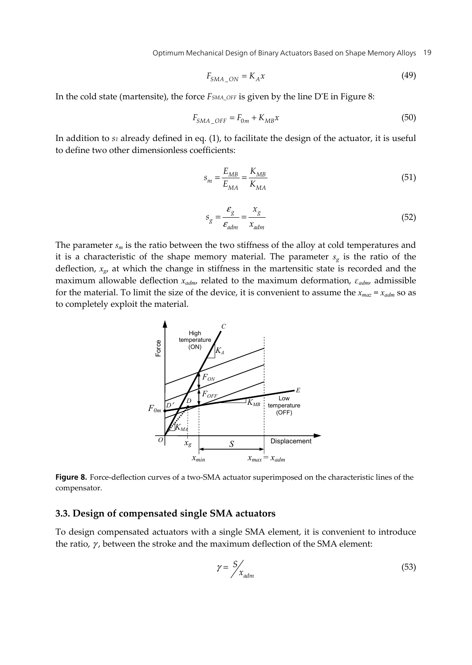Optimum Mechanical Design of Binary Actuators Based on Shape Memory Alloys 19

$$
F_{SMA\_ON} = K_A x \tag{49}
$$

In the cold state (martensite), the force  $F_{SMA\_OFF}$  is given by the line D'E in Figure 8:

$$
F_{SMA\_OFF} = F_{0m} + K_{MB}x \tag{50}
$$

In addition to *s1* already defined in eq. (1), to facilitate the design of the actuator, it is useful to define two other dimensionless coefficients:

$$
s_m = \frac{E_{MB}}{E_{MA}} = \frac{K_{MB}}{K_{MA}}
$$
\n
$$
\tag{51}
$$

$$
s_g = \frac{\varepsilon_g}{\varepsilon_{adm}} = \frac{x_g}{x_{adm}}
$$
(52)

The parameter *sm* is the ratio between the two stiffness of the alloy at cold temperatures and it is a characteristic of the shape memory material. The parameter  $s<sub>g</sub>$  is the ratio of the deflection, *xg*, at which the change in stiffness in the martensitic state is recorded and the maximum allowable deflection *xadm*, related to the maximum deformation, *εadm*, admissible for the material. To limit the size of the device, it is convenient to assume the  $x_{max} = x_{adm}$  so as to completely exploit the material.



**Figure 8.** Force-deflection curves of a two-SMA actuator superimposed on the characteristic lines of the compensator.

# **3.3. Design of compensated single SMA actuators**

To design compensated actuators with a single SMA element, it is convenient to introduce the ratio,  $\gamma$ , between the stroke and the maximum deflection of the SMA element:

$$
\gamma = \frac{S}{X_{adm}} \tag{53}
$$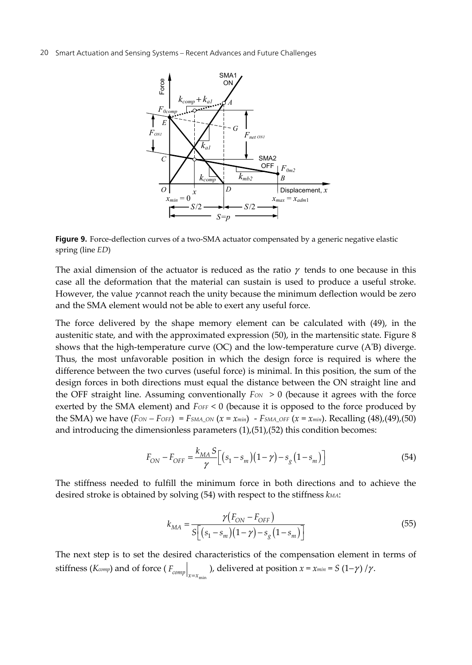

**Figure 9.** Force-deflection curves of a two-SMA actuator compensated by a generic negative elastic spring (line *ED*)

The axial dimension of the actuator is reduced as the ratio  $\gamma$  tends to one because in this case all the deformation that the material can sustain is used to produce a useful stroke. However, the value  $\gamma$  cannot reach the unity because the minimum deflection would be zero and the SMA element would not be able to exert any useful force.

The force delivered by the shape memory element can be calculated with (49), in the austenitic state, and with the approximated expression (50), in the martensitic state. Figure 8 shows that the high-temperature curve (OC) and the low-temperature curve (A'B) diverge. Thus, the most unfavorable position in which the design force is required is where the difference between the two curves (useful force) is minimal. In this position, the sum of the design forces in both directions must equal the distance between the ON straight line and the OFF straight line. Assuming conventionally  $F_{ON} > 0$  (because it agrees with the force exerted by the SMA element) and *Forf* < 0 (because it is opposed to the force produced by the SMA) we have  $(F_{ON} - F_{OFF}) = F_{SMA\_ON}(x = x_{min}) - F_{SMA\_OFF}(x = x_{min})$ . Recalling (48),(49),(50) and introducing the dimensionless parameters (1),(51),(52) this condition becomes:

$$
F_{ON} - F_{OFF} = \frac{k_{MA} S}{\gamma} \Big[ \Big( s_1 - s_m \Big) \Big( 1 - \gamma \Big) - s_g \Big( 1 - s_m \Big) \Big] \tag{54}
$$

The stiffness needed to fulfill the minimum force in both directions and to achieve the desired stroke is obtained by solving (54) with respect to the stiffness *kMA*:

$$
k_{MA} = \frac{\gamma (F_{ON} - F_{OFF})}{S\left[ (s_1 - s_m)(1 - \gamma) - s_g(1 - s_m) \right]}
$$
(55)

The next step is to set the desired characteristics of the compensation element in terms of stiffness (*Kcomp*) and of force ( $F_{comp}|_{x=x_{min}}$ ), delivered at position  $x = x_{min} = S(1-\gamma)/\gamma$ .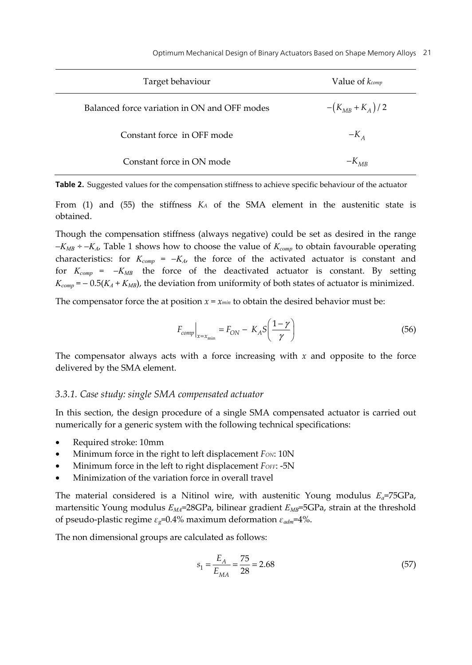| Target behaviour                             | Value of <i>kcomp</i> |
|----------------------------------------------|-----------------------|
| Balanced force variation in ON and OFF modes | $-(K_{MB}+K_A)/2$     |
| Constant force in OFF mode                   | $-K_A$                |
| Constant force in ON mode                    | $-K_{MB}$             |

**Table 2.** Suggested values for the compensation stiffness to achieve specific behaviour of the actuator

From (1) and (55) the stiffness *KA* of the SMA element in the austenitic state is obtained.

Though the compensation stiffness (always negative) could be set as desired in the range −*KMB* ÷ −*KA*, Table 1 shows how to choose the value of *Kcomp* to obtain favourable operating characteristics: for  $K_{comp} = -K_{Ar}$ , the force of the activated actuator is constant and for  $K_{comm} = -K_{MB}$  the force of the deactivated actuator is constant. By setting  $K_{comp} = -0.5(K_A + K_{MB})$ , the deviation from uniformity of both states of actuator is minimized.

The compensator force the at position  $x = x_{min}$  to obtain the desired behavior must be:

$$
F_{comp}\Big|_{x=x_{min}} = F_{ON} - K_A S\left(\frac{1-\gamma}{\gamma}\right) \tag{56}
$$

The compensator always acts with a force increasing with *x* and opposite to the force delivered by the SMA element.

### *3.3.1. Case study: single SMA compensated actuator*

In this section, the design procedure of a single SMA compensated actuator is carried out numerically for a generic system with the following technical specifications:

- Required stroke: 10mm
- Minimum force in the right to left displacement *FON*: 10N
- Minimum force in the left to right displacement *FOFF*: -5N
- Minimization of the variation force in overall travel

The material considered is a Nitinol wire, with austenitic Young modulus *Ea*=75GPa, martensitic Young modulus  $E_{M\bar{A}}$ =28GPa, bilinear gradient  $E_{M\bar{B}}$ =5GPa, strain at the threshold of pseudo-plastic regime *εg*=0.4% maximum deformation *εadm*=4%.

The non dimensional groups are calculated as follows:

$$
s_1 = \frac{E_A}{E_{MA}} = \frac{75}{28} = 2.68\tag{57}
$$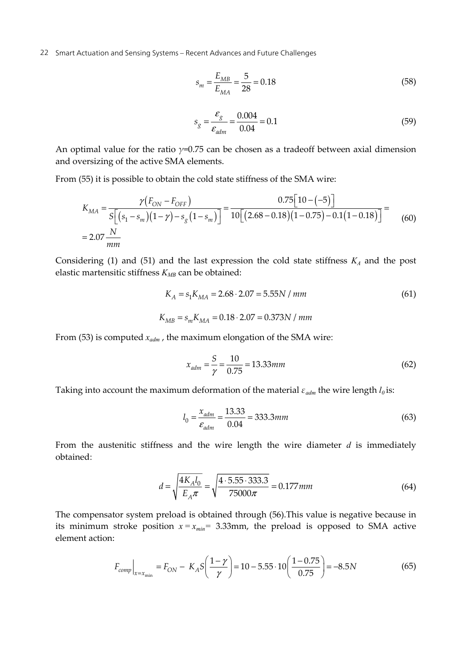$$
s_m = \frac{E_{MB}}{E_{MA}} = \frac{5}{28} = 0.18\tag{58}
$$

$$
s_g = \frac{\varepsilon_g}{\varepsilon_{adm}} = \frac{0.004}{0.04} = 0.1\tag{59}
$$

An optimal value for the ratio *γ*=0.75 can be chosen as a tradeoff between axial dimension and oversizing of the active SMA elements.

From (55) it is possible to obtain the cold state stiffness of the SMA wire:

$$
K_{MA} = \frac{\gamma (F_{ON} - F_{OFF})}{S[(s_1 - s_m)(1 - \gamma) - s_g(1 - s_m)]} = \frac{0.75[10 - (-5)]}{10[(2.68 - 0.18)(1 - 0.75) - 0.1(1 - 0.18)]} = 0.60
$$
  
= 2.07  $\frac{N}{mm}$  (60)

Considering (1) and (51) and the last expression the cold state stiffness  $K_A$  and the post elastic martensitic stiffness  $K_{MB}$  can be obtained:

$$
K_A = s_1 K_{MA} = 2.68 \cdot 2.07 = 5.55 N / \, \text{mm}
$$
\n
$$
K_{MB} = s_m K_{MA} = 0.18 \cdot 2.07 = 0.373 N / \, \text{mm}
$$
\n(61)

From (53) is computed *xadm* , the maximum elongation of the SMA wire:

$$
x_{adm} = \frac{S}{\gamma} = \frac{10}{0.75} = 13.33 \, \text{mm} \tag{62}
$$

Taking into account the maximum deformation of the material  $\varepsilon_{adm}$  the wire length  $l_0$  is:

$$
l_0 = \frac{x_{adm}}{\varepsilon_{adm}} = \frac{13.33}{0.04} = 333.3 \, \text{mm} \tag{63}
$$

From the austenitic stiffness and the wire length the wire diameter *d* is immediately obtained:

$$
d = \sqrt{\frac{4K_A l_0}{E_A \pi}} = \sqrt{\frac{4 \cdot 5.55 \cdot 333.3}{75000 \pi}} = 0.177 \, \text{mm}
$$
\n(64)

The compensator system preload is obtained through (56).This value is negative because in its minimum stroke position  $x = x_{min} = 3.33$ mm, the preload is opposed to SMA active element action:

$$
F_{comp}\Big|_{x=x_{min}} = F_{ON} - K_A S \left(\frac{1-\gamma}{\gamma}\right) = 10 - 5.55 \cdot 10 \left(\frac{1-0.75}{0.75}\right) = -8.5N\tag{65}
$$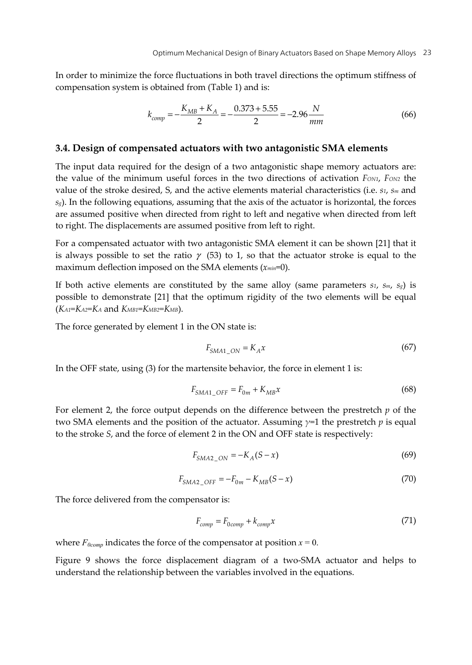In order to minimize the force fluctuations in both travel directions the optimum stiffness of compensation system is obtained from (Table 1) and is:

$$
k_{comp} = -\frac{K_{MB} + K_A}{2} = -\frac{0.373 + 5.55}{2} = -2.96 \frac{N}{mm}
$$
 (66)

# **3.4. Design of compensated actuators with two antagonistic SMA elements**

The input data required for the design of a two antagonistic shape memory actuators are: the value of the minimum useful forces in the two directions of activation *FON1*, *FON2* the value of the stroke desired, S, and the active elements material characteristics (i.e. *s1*, *sm* and *sg*). In the following equations, assuming that the axis of the actuator is horizontal, the forces are assumed positive when directed from right to left and negative when directed from left to right. The displacements are assumed positive from left to right.

For a compensated actuator with two antagonistic SMA element it can be shown [21] that it is always possible to set the ratio  $\gamma$  (53) to 1, so that the actuator stroke is equal to the maximum deflection imposed on the SMA elements (*xmin*=0).

If both active elements are constituted by the same alloy (same parameters *s1*, *sm*, *sg*) is possible to demonstrate [21] that the optimum rigidity of the two elements will be equal (*KA1=KA2=KA* and *KMB1=KMB2=KMB*).

The force generated by element 1 in the ON state is:

$$
F_{SMA1\_ON} = K_A x \tag{67}
$$

In the OFF state, using (3) for the martensite behavior, the force in element 1 is:

$$
F_{SMA1\_OFF} = F_{0m} + K_{MB}x \tag{68}
$$

For element 2, the force output depends on the difference between the prestretch *p* of the two SMA elements and the position of the actuator. Assuming *γ*=1 the prestretch *p* is equal to the stroke *S*, and the force of element 2 in the ON and OFF state is respectively:

$$
F_{SMA2\_ON} = -K_A(S - x)
$$
\n(69)

$$
F_{SMA2\_OFF} = -F_{0m} - K_{MB}(S - x)
$$
\n(70)

The force delivered from the compensator is:

$$
F_{comp} = F_{0comp} + k_{comp} x \tag{71}
$$

where  $F_{0comp}$  indicates the force of the compensator at position  $x = 0$ .

Figure 9 shows the force displacement diagram of a two-SMA actuator and helps to understand the relationship between the variables involved in the equations.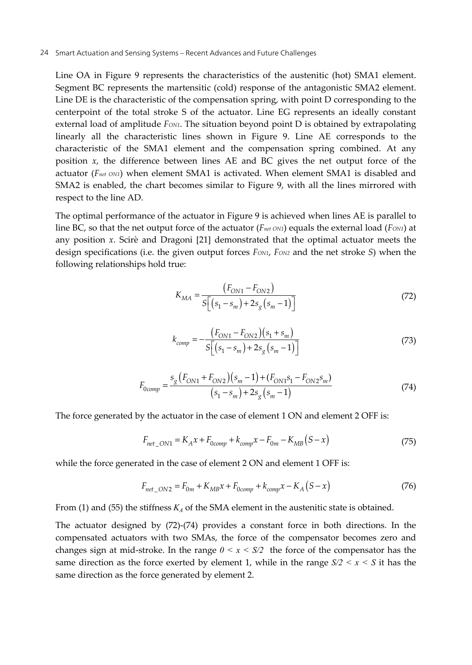Line OA in Figure 9 represents the characteristics of the austenitic (hot) SMA1 element. Segment BC represents the martensitic (cold) response of the antagonistic SMA2 element. Line DE is the characteristic of the compensation spring, with point D corresponding to the centerpoint of the total stroke S of the actuator. Line EG represents an ideally constant external load of amplitude *F<sub>ON1</sub>*. The situation beyond point D is obtained by extrapolating linearly all the characteristic lines shown in Figure 9. Line AE corresponds to the characteristic of the SMA1 element and the compensation spring combined. At any position *x*, the difference between lines AE and BC gives the net output force of the actuator (*Fnet ON1*) when element SMA1 is activated. When element SMA1 is disabled and SMA2 is enabled, the chart becomes similar to Figure 9, with all the lines mirrored with respect to the line AD.

The optimal performance of the actuator in Figure 9 is achieved when lines AE is parallel to line BC, so that the net output force of the actuator (*Fnet ON1*) equals the external load (*FON1*) at any position *x*. Scirè and Dragoni [21] demonstrated that the optimal actuator meets the design specifications (i.e. the given output forces *FON1*, *FON2* and the net stroke *S*) when the following relationships hold true:

$$
K_{MA} = \frac{(F_{ON1} - F_{ON2})}{S\left[\left(s_1 - s_m\right) + 2s_g\left(s_m - 1\right)\right]}
$$
\n(72)

$$
k_{comp} = -\frac{(F_{ON1} - F_{ON2})(s_1 + s_m)}{S\left[\left(s_1 - s_m\right) + 2s_g\left(s_m - 1\right)\right]}
$$
\n(73)

$$
F_{0comp} = \frac{s_g \left( F_{ON1} + F_{ON2} \right) \left( s_m - 1 \right) + \left( F_{ON1} s_1 - F_{ON2} s_m \right)}{\left( s_1 - s_m \right) + 2s_g \left( s_m - 1 \right)}\tag{74}
$$

The force generated by the actuator in the case of element 1 ON and element 2 OFF is:

$$
F_{net\_ON1} = K_A x + F_{0comp} + k_{comp} x - F_{0m} - K_{MB} (S - x)
$$
\n(75)

while the force generated in the case of element 2 ON and element 1 OFF is:

$$
F_{net\_ON2} = F_{0m} + K_{MB}x + F_{0comp} + k_{comp}x - K_A(S - x)
$$
\n(76)

From (1) and (55) the stiffness  $K_A$  of the SMA element in the austenitic state is obtained.

The actuator designed by (72)-(74) provides a constant force in both directions. In the compensated actuators with two SMAs, the force of the compensator becomes zero and changes sign at mid-stroke. In the range  $0 \le x \le S/2$  the force of the compensator has the same direction as the force exerted by element 1, while in the range  $S/2 < x < S$  it has the same direction as the force generated by element 2.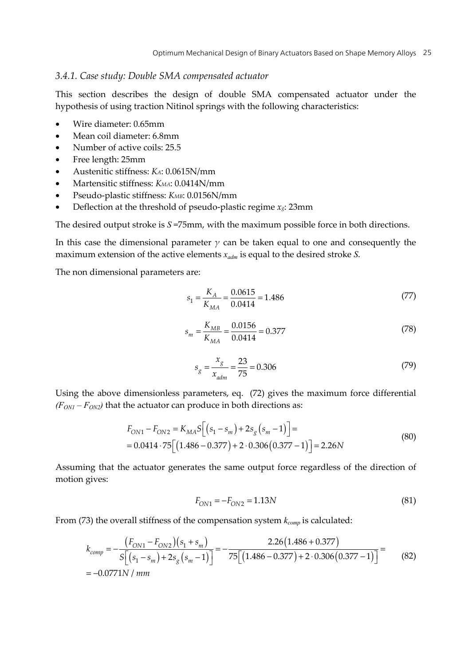# *3.4.1. Case study: Double SMA compensated actuator*

This section describes the design of double SMA compensated actuator under the hypothesis of using traction Nitinol springs with the following characteristics:

- Wire diameter: 0.65mm
- Mean coil diameter: 6.8mm
- Number of active coils: 25.5
- Free length: 25mm
- Austenitic stiffness: *KA*: 0.0615N/mm
- Martensitic stiffness: *KMA*: 0.0414N/mm
- Pseudo-plastic stiffness: *KMB*: 0.0156N/mm
- Deflection at the threshold of pseudo-plastic regime *xg*: 23mm

The desired output stroke is *S* =75mm, with the maximum possible force in both directions.

In this case the dimensional parameter  $\gamma$  can be taken equal to one and consequently the maximum extension of the active elements *xadm* is equal to the desired stroke *S*.

The non dimensional parameters are:

$$
s_1 = \frac{K_A}{K_{MA}} = \frac{0.0615}{0.0414} = 1.486\tag{77}
$$

$$
s_m = \frac{K_{MB}}{K_{MA}} = \frac{0.0156}{0.0414} = 0.377\tag{78}
$$

$$
s_g = \frac{x_g}{x_{adm}} = \frac{23}{75} = 0.306\tag{79}
$$

Using the above dimensionless parameters, eq. (72) gives the maximum force differential  $(F<sub>ONI</sub> - F<sub>ON2</sub>)$  that the actuator can produce in both directions as:

$$
F_{ON1} - F_{ON2} = K_{MA}S[(s_1 - s_m) + 2s_g(s_m - 1)] =
$$
  
= 0.0414.75[(1.486 - 0.377) + 2.0.306(0.377 - 1)] = 2.26N (80)

Assuming that the actuator generates the same output force regardless of the direction of motion gives:

$$
F_{ON1} = -F_{ON2} = 1.13N\tag{81}
$$

From (73) the overall stiffness of the compensation system  $k_{comb}$  is calculated:

$$
k_{comp} = -\frac{(F_{ON1} - F_{ON2})(s_1 + s_m)}{S[(s_1 - s_m) + 2s_g(s_m - 1)]} = -\frac{2.26(1.486 + 0.377)}{75[(1.486 - 0.377) + 2 \cdot 0.306(0.377 - 1)]} = -0.0771N / mm
$$
\n(82)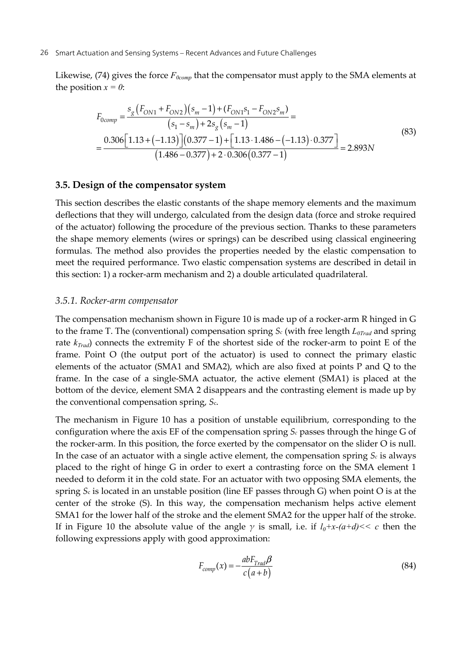Likewise, (74) gives the force  $F_{0comp}$  that the compensator must apply to the SMA elements at the position  $x = 0$ :

$$
F_{0comp} = \frac{s_g (F_{ON1} + F_{ON2})(s_m - 1) + (F_{ON1}s_1 - F_{ON2}s_m)}{(s_1 - s_m) + 2s_g (s_m - 1)} =
$$
\n
$$
= \frac{0.306[1.13 + (-1.13)](0.377 - 1) + [1.13 \cdot 1.486 - (-1.13) \cdot 0.377]}{(1.486 - 0.377) + 2 \cdot 0.306(0.377 - 1)} = 2.893N
$$
\n(83)

# **3.5. Design of the compensator system**

This section describes the elastic constants of the shape memory elements and the maximum deflections that they will undergo, calculated from the design data (force and stroke required of the actuator) following the procedure of the previous section. Thanks to these parameters the shape memory elements (wires or springs) can be described using classical engineering formulas. The method also provides the properties needed by the elastic compensation to meet the required performance. Two elastic compensation systems are described in detail in this section: 1) a rocker-arm mechanism and 2) a double articulated quadrilateral.

#### *3.5.1. Rocker-arm compensator*

The compensation mechanism shown in Figure 10 is made up of a rocker-arm R hinged in G to the frame T. The (conventional) compensation spring  $S_c$  (with free length  $L_{0Trad}$  and spring rate  $k_{Trad}$ ) connects the extremity F of the shortest side of the rocker-arm to point E of the frame. Point O (the output port of the actuator) is used to connect the primary elastic elements of the actuator (SMA1 and SMA2), which are also fixed at points P and Q to the frame. In the case of a single-SMA actuator, the active element (SMA1) is placed at the bottom of the device, element SMA 2 disappears and the contrasting element is made up by the conventional compensation spring, *S*c.

The mechanism in Figure 10 has a position of unstable equilibrium, corresponding to the configuration where the axis EF of the compensation spring *Sc* passes through the hinge G of the rocker-arm. In this position, the force exerted by the compensator on the slider O is null. In the case of an actuator with a single active element, the compensation spring  $S_c$  is always placed to the right of hinge G in order to exert a contrasting force on the SMA element 1 needed to deform it in the cold state. For an actuator with two opposing SMA elements, the spring *S*c is located in an unstable position (line EF passes through G) when point O is at the center of the stroke (S). In this way, the compensation mechanism helps active element SMA1 for the lower half of the stroke and the element SMA2 for the upper half of the stroke. If in Figure 10 the absolute value of the angle  $\gamma$  is small, i.e. if  $l_0+x-(a+d)\leq c$  then the following expressions apply with good approximation:

$$
F_{comp}(x) = -\frac{abF_{Trad}\beta}{c(a+b)}
$$
\n(84)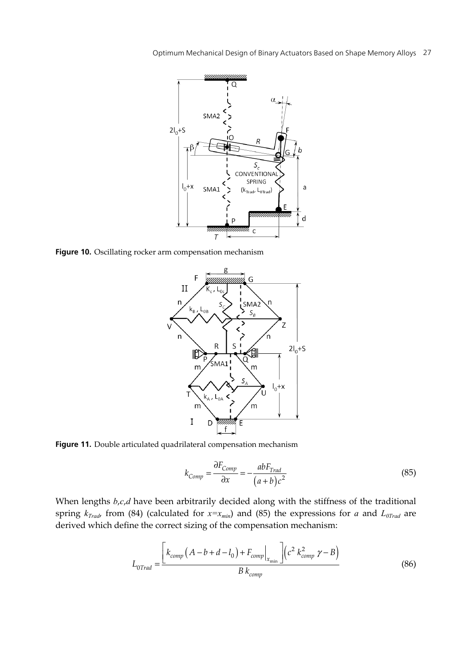

**Figure 10.** Oscillating rocker arm compensation mechanism



**Figure 11.** Double articulated quadrilateral compensation mechanism

$$
k_{Comp} = \frac{\partial F_{Comp}}{\partial x} = -\frac{abF_{Trad}}{(a+b)c^2}
$$
\n(85)

When lengths  $b$ ,*c*,*d* have been arbitrarily decided along with the stiffness of the traditional spring  $k_{Trad}$ , from (84) (calculated for  $x=x_{min}$ ) and (85) the expressions for *a* and  $L_{0Trad}$  are derived which define the correct sizing of the compensation mechanism:

$$
L_{0Trad} = \frac{\left[k_{comp}(A - b + d - l_0) + F_{comp}\right]_{x_{min}} \left[ (c^2 \, k_{comp}^2 \, \gamma - B) \right]}{B \, k_{comp}}
$$
\n(86)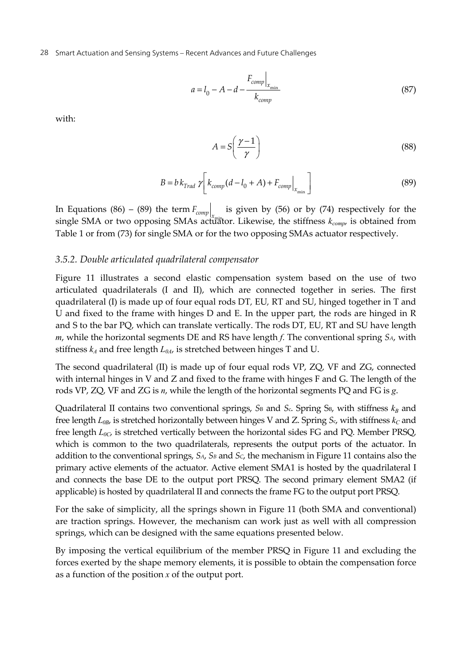$$
a = l_0 - A - d - \frac{F_{comp}|_{x_{min}}}{k_{comp}}
$$
\n(87)

with:

$$
A = S\left(\frac{\gamma - 1}{\gamma}\right) \tag{88}
$$

$$
B = bk_{Trad} \ \gamma \bigg[ k_{comp}(d - l_0 + A) + F_{comp} \big|_{x_{min}} \bigg] \tag{89}
$$

In Equations (86) – (89) the term  $F_{comp}$  is given by (56) or by (74) respectively for the single SMA or two opposing SMAs actuator. Likewise, the stiffness  $k_{comp}$ , is obtained from Table 1 or from (73) for single SMA or for the two opposing SMAs actuator respectively.

# *3.5.2. Double articulated quadrilateral compensator*

Figure 11 illustrates a second elastic compensation system based on the use of two articulated quadrilaterals (I and II), which are connected together in series. The first quadrilateral (I) is made up of four equal rods DT*,* EU*,* RT and SU, hinged together in T and U and fixed to the frame with hinges D and E. In the upper part, the rods are hinged in R and S to the bar PQ, which can translate vertically. The rods DT, EU, RT and SU have length *m*, while the horizontal segments DE and RS have length *f*. The conventional spring *SA*, with stiffness  $k_A$  and free length  $L_{0A}$ , is stretched between hinges T and U.

The second quadrilateral (II) is made up of four equal rods VP, ZQ, VF and ZG, connected with internal hinges in V and  $Z$  and fixed to the frame with hinges  $F$  and  $G$ . The length of the rods VP, ZQ, VF and ZG is *n*, while the length of the horizontal segments PQ and FG is *g*.

Quadrilateral II contains two conventional springs,  $S_B$  and  $S_c$ . Spring  $S_B$ , with stiffness  $k_B$  and free length  $L_{0B}$  is stretched horizontally between hinges V and Z. Spring  $S_c$ , with stiffness  $k_C$  and free length *L0C*, is stretched vertically between the horizontal sides FG and PQ. Member PRSQ, which is common to the two quadrilaterals, represents the output ports of the actuator. In addition to the conventional springs, *SA*, *SB* and *SC*, the mechanism in Figure 11 contains also the primary active elements of the actuator. Active element SMA1 is hosted by the quadrilateral I and connects the base DE to the output port PRSQ. The second primary element SMA2 (if applicable) is hosted by quadrilateral II and connects the frame FG to the output port PRSQ.

For the sake of simplicity, all the springs shown in Figure 11 (both SMA and conventional) are traction springs. However, the mechanism can work just as well with all compression springs, which can be designed with the same equations presented below.

By imposing the vertical equilibrium of the member PRSQ in Figure 11 and excluding the forces exerted by the shape memory elements, it is possible to obtain the compensation force as a function of the position *x* of the output port.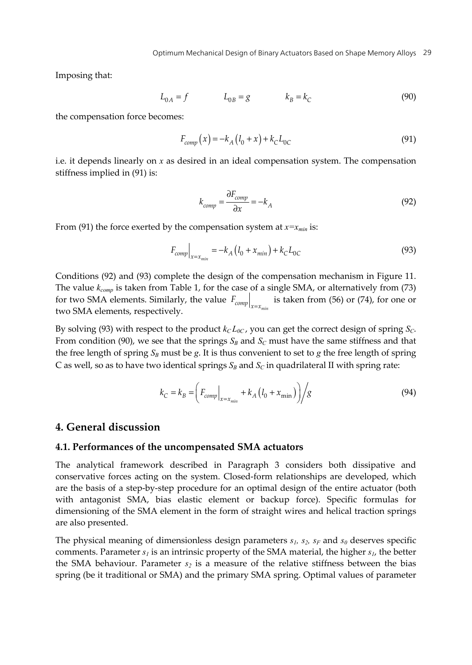Imposing that:

$$
L_{0A} = f \qquad L_{0B} = g \qquad k_B = k_C \tag{90}
$$

the compensation force becomes:

$$
F_{comp}(x) = -k_A (l_0 + x) + k_C L_{0C}
$$
\n(91)

i.e. it depends linearly on *x* as desired in an ideal compensation system. The compensation stiffness implied in (91) is:

$$
k_{comp} = \frac{\partial F_{comp}}{\partial x} = -k_A \tag{92}
$$

From (91) the force exerted by the compensation system at  $x=x_{min}$  is:

$$
F_{comp}\Big|_{x=x_{min}} = -k_A \left( l_0 + x_{min} \right) + k_C L_{0C}
$$
\n(93)

Conditions (92) and (93) complete the design of the compensation mechanism in Figure 11. The value  $k_{comp}$  is taken from Table 1, for the case of a single SMA, or alternatively from (73) for two SMA elements. Similarly, the value  $F_{comp}|_{x=x_{min}}$  is taken from (56) or (74), for one or two SMA elements reconoctively. two SMA elements, respectively.

By solving (93) with respect to the product  $k_{C}L_{0C}$ , you can get the correct design of spring  $S_{C}$ . From condition (90), we see that the springs  $S_B$  and  $S_C$  must have the same stiffness and that the free length of spring  $S_B$  must be *g*. It is thus convenient to set to *g* the free length of spring C as well, so as to have two identical springs  $S_B$  and  $S_C$  in quadrilateral II with spring rate:

$$
k_C = k_B = \left( F_{comp} \Big|_{x = x_{min}} + k_A \left( l_0 + x_{min} \right) \right) / g \tag{94}
$$

# **4. General discussion**

#### **4.1. Performances of the uncompensated SMA actuators**

The analytical framework described in Paragraph 3 considers both dissipative and conservative forces acting on the system. Closed-form relationships are developed, which are the basis of a step-by-step procedure for an optimal design of the entire actuator (both with antagonist SMA, bias elastic element or backup force). Specific formulas for dimensioning of the SMA element in the form of straight wires and helical traction springs are also presented.

The physical meaning of dimensionless design parameters  $s_l$ ,  $s_2$ ,  $s_F$  and  $s_0$  deserves specific comments. Parameter  $s_l$  is an intrinsic property of the SMA material, the higher  $s_l$ , the better the SMA behaviour. Parameter  $s_2$  is a measure of the relative stiffness between the bias spring (be it traditional or SMA) and the primary SMA spring. Optimal values of parameter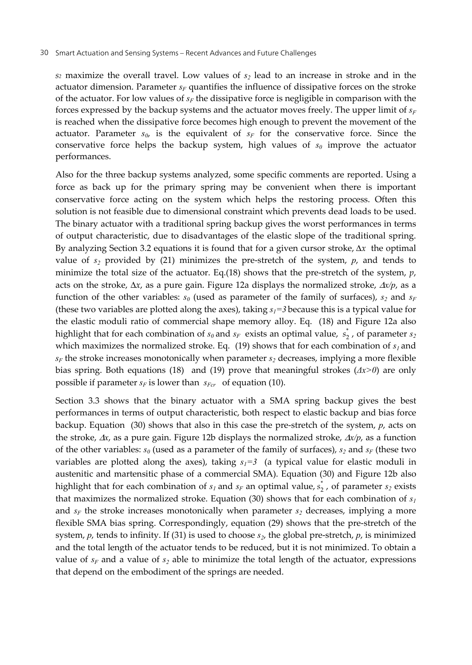$s_2$  maximize the overall travel. Low values of  $s_2$  lead to an increase in stroke and in the actuator dimension. Parameter  $s_F$  quantifies the influence of dissipative forces on the stroke of the actuator. For low values of  $s_F$  the dissipative force is negligible in comparison with the forces expressed by the backup systems and the actuator moves freely. The upper limit of  $s_F$ is reached when the dissipative force becomes high enough to prevent the movement of the actuator. Parameter  $s_{0}$  is the equivalent of  $s_F$  for the conservative force. Since the conservative force helps the backup system, high values of  $s_0$  improve the actuator performances.

Also for the three backup systems analyzed, some specific comments are reported. Using a force as back up for the primary spring may be convenient when there is important conservative force acting on the system which helps the restoring process. Often this solution is not feasible due to dimensional constraint which prevents dead loads to be used. The binary actuator with a traditional spring backup gives the worst performances in terms of output characteristic, due to disadvantages of the elastic slope of the traditional spring. By analyzing Section 3.2 equations it is found that for a given cursor stroke, Δ*x* the optimal value of  $s_2$  provided by (21) minimizes the pre-stretch of the system,  $p$ , and tends to minimize the total size of the actuator. Eq.(18) shows that the pre-stretch of the system, *p*, acts on the stroke, Δ*x*, as a pure gain. Figure 12a displays the normalized stroke, Δ*x/p*, as a function of the other variables:  $s_0$  (used as parameter of the family of surfaces),  $s_2$  and  $s_F$ (these two variables are plotted along the axes), taking  $s<sub>1</sub>=3$  because this is a typical value for the elastic moduli ratio of commercial shape memory alloy. Eq. (18) and Figure 12a also highlight that for each combination of  $s_\theta$  and  $s_F$  exists an optimal value,  $s_2^*$ , of parameter  $s_2$ which maximizes the normalized stroke. Eq.  $(19)$  shows that for each combination of  $s<sub>I</sub>$  and  $s_F$  the stroke increases monotonically when parameter  $s_2$  decreases, implying a more flexible bias spring. Both equations (18) and (19) prove that meaningful strokes (*Δx>0*) are only possible if parameter  $s_F$  is lower than  $s_{Fcr}$  of equation (10).

Section 3.3 shows that the binary actuator with a SMA spring backup gives the best performances in terms of output characteristic, both respect to elastic backup and bias force backup. Equation (30) shows that also in this case the pre-stretch of the system, *p*, acts on the stroke, Δ*x*, as a pure gain. Figure 12b displays the normalized stroke, Δ*x/p*, as a function of the other variables:  $s_0$  (used as a parameter of the family of surfaces),  $s_2$  and  $s_F$  (these two variables are plotted along the axes), taking  $s_1 = 3$  (a typical value for elastic moduli in austenitic and martensitic phase of a commercial SMA). Equation (30) and Figure 12b also highlight that for each combination of  $s_l$  and  $s_F$  an optimal value,  $s_2^*$ , of parameter  $s_2$  exists that maximizes the normalized stroke. Equation (30) shows that for each combination of *s1* and  $s_F$  the stroke increases monotonically when parameter  $s_2$  decreases, implying a more flexible SMA bias spring. Correspondingly, equation (29) shows that the pre-stretch of the system,  $p$ , tends to infinity. If (31) is used to choose  $s_2$ , the global pre-stretch,  $p$ , is minimized and the total length of the actuator tends to be reduced, but it is not minimized. To obtain a value of  $s_F$  and a value of  $s_2$  able to minimize the total length of the actuator, expressions that depend on the embodiment of the springs are needed.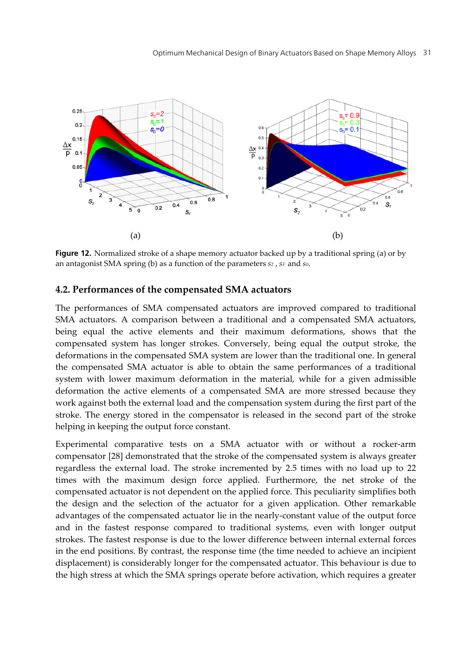

**Figure 12.** Normalized stroke of a shape memory actuator backed up by a traditional spring (a) or by an antagonist SMA spring (b) as a function of the parameters *s2* , *sF* and *s0*.

# **4.2. Performances of the compensated SMA actuators**

The performances of SMA compensated actuators are improved compared to traditional SMA actuators. A comparison between a traditional and a compensated SMA actuators, being equal the active elements and their maximum deformations, shows that the compensated system has longer strokes. Conversely, being equal the output stroke, the deformations in the compensated SMA system are lower than the traditional one. In general the compensated SMA actuator is able to obtain the same performances of a traditional system with lower maximum deformation in the material, while for a given admissible deformation the active elements of a compensated SMA are more stressed because they work against both the external load and the compensation system during the first part of the stroke. The energy stored in the compensator is released in the second part of the stroke helping in keeping the output force constant.

Experimental comparative tests on a SMA actuator with or without a rocker-arm compensator [28] demonstrated that the stroke of the compensated system is always greater regardless the external load. The stroke incremented by 2.5 times with no load up to 22 times with the maximum design force applied. Furthermore, the net stroke of the compensated actuator is not dependent on the applied force. This peculiarity simplifies both the design and the selection of the actuator for a given application. Other remarkable advantages of the compensated actuator lie in the nearly-constant value of the output force and in the fastest response compared to traditional systems, even with longer output strokes. The fastest response is due to the lower difference between internal external forces in the end positions. By contrast, the response time (the time needed to achieve an incipient displacement) is considerably longer for the compensated actuator. This behaviour is due to the high stress at which the SMA springs operate before activation, which requires a greater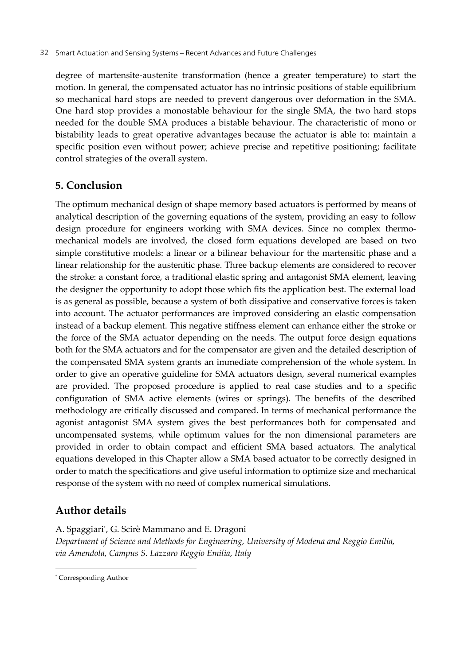degree of martensite-austenite transformation (hence a greater temperature) to start the motion. In general, the compensated actuator has no intrinsic positions of stable equilibrium so mechanical hard stops are needed to prevent dangerous over deformation in the SMA. One hard stop provides a monostable behaviour for the single SMA, the two hard stops needed for the double SMA produces a bistable behaviour. The characteristic of mono or bistability leads to great operative advantages because the actuator is able to: maintain a specific position even without power; achieve precise and repetitive positioning; facilitate control strategies of the overall system.

# **5. Conclusion**

The optimum mechanical design of shape memory based actuators is performed by means of analytical description of the governing equations of the system, providing an easy to follow design procedure for engineers working with SMA devices. Since no complex thermomechanical models are involved, the closed form equations developed are based on two simple constitutive models: a linear or a bilinear behaviour for the martensitic phase and a linear relationship for the austenitic phase. Three backup elements are considered to recover the stroke: a constant force, a traditional elastic spring and antagonist SMA element, leaving the designer the opportunity to adopt those which fits the application best. The external load is as general as possible, because a system of both dissipative and conservative forces is taken into account. The actuator performances are improved considering an elastic compensation instead of a backup element. This negative stiffness element can enhance either the stroke or the force of the SMA actuator depending on the needs. The output force design equations both for the SMA actuators and for the compensator are given and the detailed description of the compensated SMA system grants an immediate comprehension of the whole system. In order to give an operative guideline for SMA actuators design, several numerical examples are provided. The proposed procedure is applied to real case studies and to a specific configuration of SMA active elements (wires or springs). The benefits of the described methodology are critically discussed and compared. In terms of mechanical performance the agonist antagonist SMA system gives the best performances both for compensated and uncompensated systems, while optimum values for the non dimensional parameters are provided in order to obtain compact and efficient SMA based actuators. The analytical equations developed in this Chapter allow a SMA based actuator to be correctly designed in order to match the specifications and give useful information to optimize size and mechanical response of the system with no need of complex numerical simulations.

# **Author details**

A. Spaggiari\* , G. Scirè Mammano and E. Dragoni *Department of Science and Methods for Engineering, University of Modena and Reggio Emilia, via Amendola, Campus S. Lazzaro Reggio Emilia, Italy* 

j

<sup>\*</sup> Corresponding Author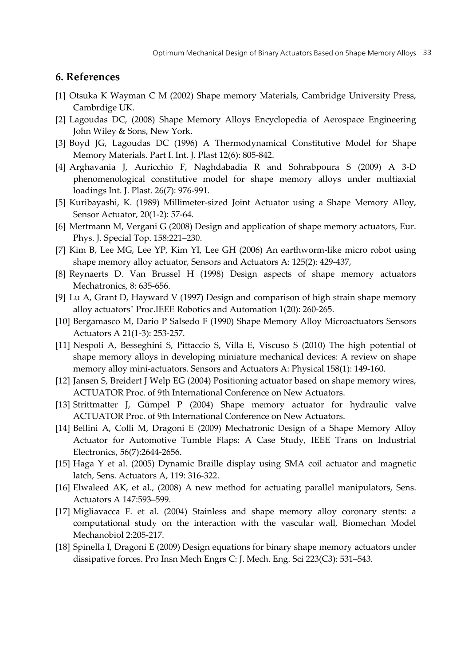# **6. References**

- [1] Otsuka K Wayman C M (2002) Shape memory Materials, Cambridge University Press, Cambrdige UK.
- [2] Lagoudas DC, (2008) Shape Memory Alloys Encyclopedia of Aerospace Engineering John Wiley & Sons, New York.
- [3] Boyd JG, Lagoudas DC (1996) A Thermodynamical Constitutive Model for Shape Memory Materials. Part I. Int. J. Plast 12(6): 805-842.
- [4] Arghavania J, Auricchio F, Naghdabadia R and Sohrabpoura S (2009) A 3-D phenomenological constitutive model for shape memory alloys under multiaxial loadings Int. J. Plast. 26(7): 976-991.
- [5] Kuribayashi, K. (1989) Millimeter-sized Joint Actuator using a Shape Memory Alloy, Sensor Actuator, 20(1-2): 57-64.
- [6] Mertmann M, Vergani G (2008) Design and application of shape memory actuators, Eur. Phys. J. Special Top. 158:221–230.
- [7] Kim B, Lee MG, Lee YP, Kim YI, Lee GH (2006) An earthworm-like micro robot using shape memory alloy actuator, Sensors and Actuators A: 125(2): 429-437,
- [8] Reynaerts D. Van Brussel H (1998) Design aspects of shape memory actuators Mechatronics, 8: 635-656.
- [9] Lu A, Grant D, Hayward V (1997) Design and comparison of high strain shape memory alloy actuators" Proc.IEEE Robotics and Automation 1(20): 260-265.
- [10] Bergamasco M, Dario P Salsedo F (1990) Shape Memory Alloy Microactuators Sensors Actuators A 21(1-3): 253-257.
- [11] Nespoli A, Besseghini S, Pittaccio S, Villa E, Viscuso S (2010) The high potential of shape memory alloys in developing miniature mechanical devices: A review on shape memory alloy mini-actuators. Sensors and Actuators A: Physical 158(1): 149-160.
- [12] Jansen S, Breidert J Welp EG (2004) Positioning actuator based on shape memory wires, ACTUATOR Proc. of 9th International Conference on New Actuators.
- [13] Strittmatter J, Gümpel P (2004) Shape memory actuator for hydraulic valve ACTUATOR Proc. of 9th International Conference on New Actuators.
- [14] Bellini A, Colli M, Dragoni E (2009) Mechatronic Design of a Shape Memory Alloy Actuator for Automotive Tumble Flaps: A Case Study, IEEE Trans on Industrial Electronics, 56(7):2644-2656.
- [15] Haga Y et al. (2005) Dynamic Braille display using SMA coil actuator and magnetic latch, Sens. Actuators A, 119: 316-322.
- [16] Elwaleed AK, et al., (2008) A new method for actuating parallel manipulators, Sens. Actuators A 147:593–599.
- [17] Migliavacca F. et al. (2004) Stainless and shape memory alloy coronary stents: a computational study on the interaction with the vascular wall, Biomechan Model Mechanobiol 2:205-217.
- [18] Spinella I, Dragoni E (2009) Design equations for binary shape memory actuators under dissipative forces. Pro Insn Mech Engrs C: J. Mech. Eng. Sci 223(C3): 531–543.